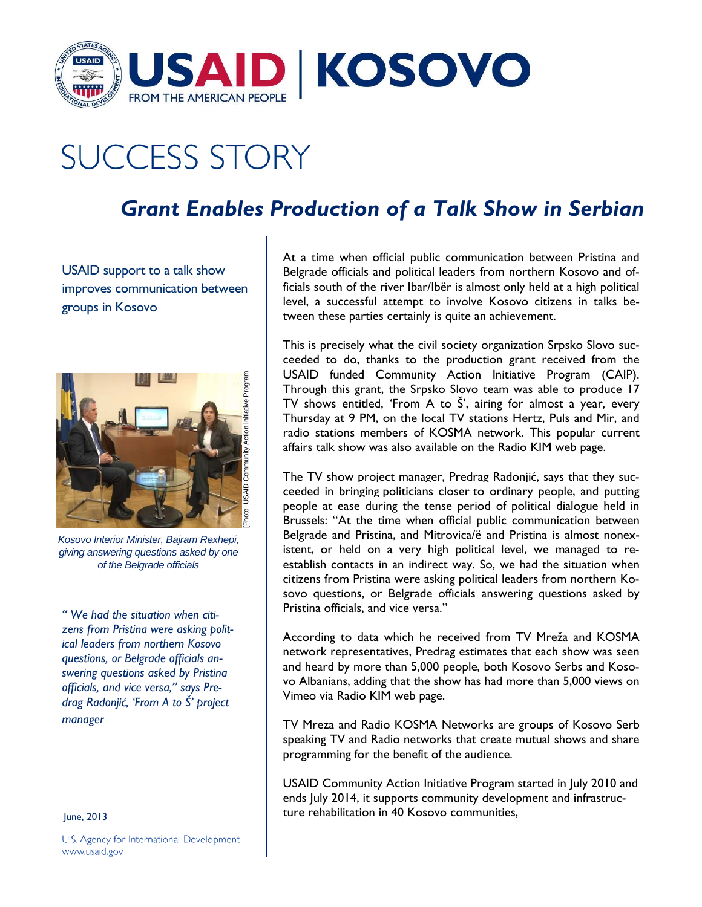

## **SUCCESS STORY**

## *Grant Enables Production of a Talk Show in Serbian*

USAID support to a talk show improves communication between groups in Kosovo



*Kosovo Interior Minister, Bajram Rexhepi, giving answering questions asked by one of the Belgrade officials* 

*" We had the situation when citizens from Pristina were asking political leaders from northern Kosovo questions, or Belgrade officials answering questions asked by Pristina officials, and vice versa," says Predrag Radonjić, 'From A to Š' project manager* 

June, 2013

U.S. Agency for International Development www.usaid.gov

At a time when official public communication between Pristina and Belgrade officials and political leaders from northern Kosovo and officials south of the river Ibar/Ibër is almost only held at a high political level, a successful attempt to involve Kosovo citizens in talks between these parties certainly is quite an achievement.

This is precisely what the civil society organization Srpsko Slovo succeeded to do, thanks to the production grant received from the USAID funded Community Action Initiative Program (CAIP). Through this grant, the Srpsko Slovo team was able to produce 17 TV shows entitled, 'From A to Š', airing for almost a year, every Thursday at 9 PM, on the local TV stations Hertz, Puls and Mir, and radio stations members of KOSMA network. This popular current affairs talk show was also available on the Radio KIM web page.

The TV show project manager, Predrag Radonjić, says that they succeeded in bringing politicians closer to ordinary people, and putting people at ease during the tense period of political dialogue held in Brussels: "At the time when official public communication between Belgrade and Pristina, and Mitrovica/ë and Pristina is almost nonexistent, or held on a very high political level, we managed to reestablish contacts in an indirect way. So, we had the situation when citizens from Pristina were asking political leaders from northern Kosovo questions, or Belgrade officials answering questions asked by Pristina officials, and vice versa."

According to data which he received from TV Mreža and KOSMA network representatives, Predrag estimates that each show was seen and heard by more than 5,000 people, both Kosovo Serbs and Kosovo Albanians, adding that the show has had more than 5,000 views on Vimeo via Radio KIM web page.

TV Mreza and Radio KOSMA Networks are groups of Kosovo Serb speaking TV and Radio networks that create mutual shows and share programming for the benefit of the audience.

USAID Community Action Initiative Program started in July 2010 and ends July 2014, it supports community development and infrastructure rehabilitation in 40 Kosovo communities,